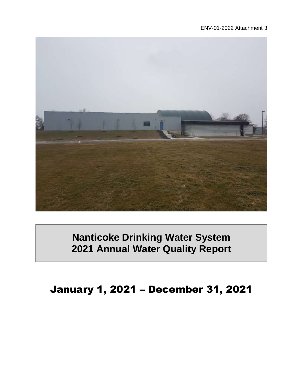#### ENV-01-2022 Attachment 3



# **Nanticoke Drinking Water System 2021 Annual Water Quality Report**

January 1, 2021 – December 31, 2021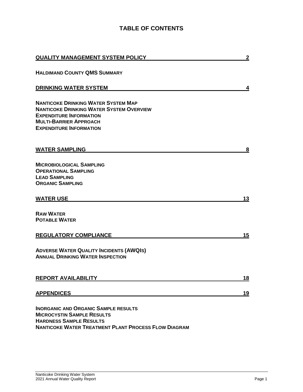### **TABLE OF CONTENTS**

| <b>QUALITY MANAGEMENT SYSTEM POLICY</b>                                                                            | $\overline{2}$ |
|--------------------------------------------------------------------------------------------------------------------|----------------|
| <b>HALDIMAND COUNTY QMS SUMMARY</b>                                                                                |                |
| <b>DRINKING WATER SYSTEM</b>                                                                                       | 4              |
| <b>NANTICOKE DRINKING WATER SYSTEM MAP</b>                                                                         |                |
| <b>NANTICOKE DRINKING WATER SYSTEM OVERVIEW</b>                                                                    |                |
| <b>EXPENDITURE INFORMATION</b>                                                                                     |                |
| <b>MULTI-BARRIER APPROACH</b>                                                                                      |                |
| <b>EXPENDITURE INFORMATION</b>                                                                                     |                |
| <b>WATER SAMPLING</b>                                                                                              | 8              |
|                                                                                                                    |                |
| <b>MICROBIOLOGICAL SAMPLING</b>                                                                                    |                |
| <b>OPERATIONAL SAMPLING</b>                                                                                        |                |
| <b>LEAD SAMPLING</b>                                                                                               |                |
| <b>ORGANIC SAMPLING</b>                                                                                            |                |
| <b>WATER USE</b>                                                                                                   | 13             |
| <b>RAW WATER</b>                                                                                                   |                |
| <b>POTABLE WATER</b>                                                                                               |                |
| <b>REGULATORY COMPLIANCE</b>                                                                                       | 15             |
| <b>ADVERSE WATER QUALITY INCIDENTS (AWQIS)</b><br><b>ANNUAL DRINKING WATER INSPECTION</b>                          |                |
| <b>REPORT AVAILABILITY</b>                                                                                         | <u> 18</u>     |
| <b>APPENDICES</b>                                                                                                  | <u>19</u>      |
| <b>INORGANIC AND ORGANIC SAMPLE RESULTS</b><br><b>MICROCYSTIN SAMPLE RESULTS</b><br><b>HARDNESS SAMPLE RESULTS</b> |                |

**NANTICOKE WATER TREATMENT PLANT PROCESS FLOW DIAGRAM**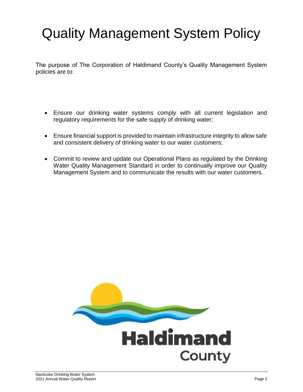# Quality Management System Policy

The purpose of The Corporation of Haldimand County's Quality Management System policies are to:

- Ensure our drinking water systems comply with all current legislation and regulatory requirements for the safe supply of drinking water;
- Ensure financial support is provided to maintain infrastructure integrity to allow safe and consistent delivery of drinking water to our water customers;
- Commit to review and update our Operational Plans as regulated by the Drinking Water Quality Management Standard in order to continually improve our Quality Management System and to communicate the results with our water customers.

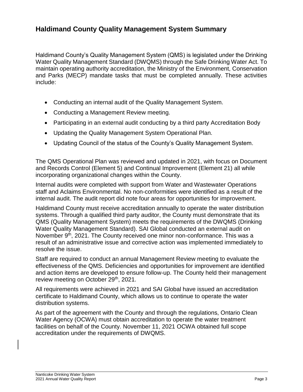### **Haldimand County Quality Management System Summary**

Haldimand County's Quality Management System (QMS) is legislated under the Drinking Water Quality Management Standard (DWQMS) through the Safe Drinking Water Act. To maintain operating authority accreditation, the Ministry of the Environment, Conservation and Parks (MECP) mandate tasks that must be completed annually. These activities include:

- Conducting an internal audit of the Quality Management System.
- Conducting a Management Review meeting.
- Participating in an external audit conducting by a third party Accreditation Body
- Updating the Quality Management System Operational Plan.
- Updating Council of the status of the County's Quality Management System.

The QMS Operational Plan was reviewed and updated in 2021, with focus on Document and Records Control (Element 5) and Continual Improvement (Element 21) all while incorporating organizational changes within the County.

Internal audits were completed with support from Water and Wastewater Operations staff and Aclaims Environmental. No non-conformities were identified as a result of the internal audit. The audit report did note four areas for opportunities for improvement.

Haldimand County must receive accreditation annually to operate the water distribution systems. Through a qualified third party auditor, the County must demonstrate that its QMS (Quality Management System) meets the requirements of the DWQMS (Drinking Water Quality Management Standard). SAI Global conducted an external audit on November 9<sup>th</sup>, 2021. The County received one minor non-conformance. This was a result of an administrative issue and corrective action was implemented immediately to resolve the issue.

Staff are required to conduct an annual Management Review meeting to evaluate the effectiveness of the QMS. Deficiencies and opportunities for improvement are identified and action items are developed to ensure follow-up. The County held their management review meeting on October 29<sup>th</sup>, 2021.

All requirements were achieved in 2021 and SAI Global have issued an accreditation certificate to Haldimand County, which allows us to continue to operate the water distribution systems.

As part of the agreement with the County and through the regulations, Ontario Clean Water Agency (OCWA) must obtain accreditation to operate the water treatment facilities on behalf of the County. November 11, 2021 OCWA obtained full scope accreditation under the requirements of DWQMS.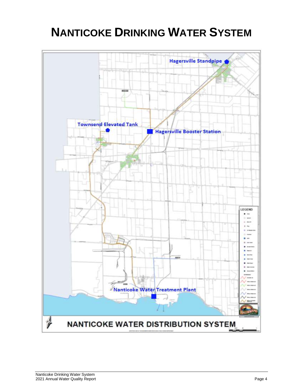# **NANTICOKE DRINKING WATER SYSTEM**

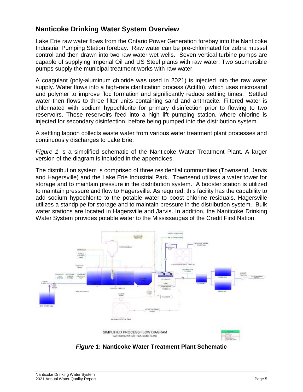### **Nanticoke Drinking Water System Overview**

Lake Erie raw water flows from the Ontario Power Generation forebay into the Nanticoke Industrial Pumping Station forebay. Raw water can be pre-chlorinated for zebra mussel control and then drawn into two raw water wet wells. Seven vertical turbine pumps are capable of supplying Imperial Oil and US Steel plants with raw water. Two submersible pumps supply the municipal treatment works with raw water.

A coagulant (poly-aluminum chloride was used in 2021) is injected into the raw water supply. Water flows into a high-rate clarification process (Actiflo), which uses microsand and polymer to improve floc formation and significantly reduce settling times. Settled water then flows to three filter units containing sand and anthracite. Filtered water is chlorinated with sodium hypochlorite for primary disinfection prior to flowing to two reservoirs. These reservoirs feed into a high lift pumping station, where chlorine is injected for secondary disinfection, before being pumped into the distribution system.

A settling lagoon collects waste water from various water treatment plant processes and continuously discharges to Lake Erie.

*Figure 1* is a simplified schematic of the Nanticoke Water Treatment Plant. A larger version of the diagram is included in the appendices.

The distribution system is comprised of three residential communities (Townsend, Jarvis and Hagersville) and the Lake Erie Industrial Park. Townsend utilizes a water tower for storage and to maintain pressure in the distribution system. A booster station is utilized to maintain pressure and flow to Hagersville. As required, this facility has the capability to add sodium hypochlorite to the potable water to boost chlorine residuals. Hagersville utilizes a standpipe for storage and to maintain pressure in the distribution system. Bulk water stations are located in Hagersville and Jarvis. In addition, the Nanticoke Drinking Water System provides potable water to the Mississaugas of the Credit First Nation.



*Figure 1***: Nanticoke Water Treatment Plant Schematic**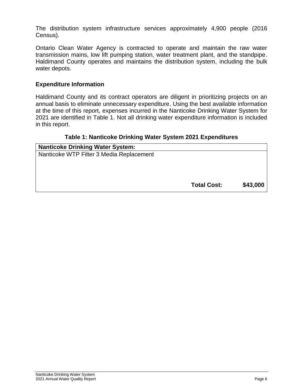The distribution system infrastructure services approximately 4,900 people (2016 Census).

Ontario Clean Water Agency is contracted to operate and maintain the raw water transmission mains, low lift pumping station, water treatment plant, and the standpipe. Haldimand County operates and maintains the distribution system, including the bulk water depots.

#### **Expenditure Information**

Haldimand County and its contract operators are diligent in prioritizing projects on an annual basis to eliminate unnecessary expenditure. Using the best available information at the time of this report, expenses incurred in the Nanticoke Drinking Water System for 2021 are identified in Table 1. Not all drinking water expenditure information is included in this report.

#### **Table 1: Nanticoke Drinking Water System 2021 Expenditures**

| <b>Nanticoke Drinking Water System:</b>  |                    |          |
|------------------------------------------|--------------------|----------|
| Nanticoke WTP Filter 3 Media Replacement |                    |          |
|                                          |                    |          |
|                                          |                    |          |
|                                          |                    |          |
|                                          | <b>Total Cost:</b> | \$43,000 |
|                                          |                    |          |
|                                          |                    |          |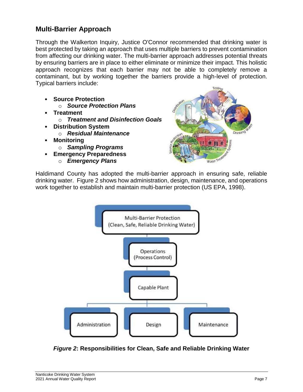### **Multi-Barrier Approach**

Through the Walkerton Inquiry, Justice O'Connor recommended that drinking water is best protected by taking an approach that uses multiple barriers to prevent contamination from affecting our drinking water. The multi-barrier approach addresses potential threats by ensuring barriers are in place to either eliminate or minimize their impact. This holistic approach recognizes that each barrier may not be able to completely remove a contaminant, but by working together the barriers provide a high-level of protection. Typical barriers include:

- **Source Protection**
	- o *Source Protection Plans*
- **Treatment**
	- o *Treatment and Disinfection Goals*
- **Distribution System**
	- o *Residual Maintenance*
- **Monitoring**
	- o *Sampling Programs*
- **Emergency Preparedness** o *Emergency Plans*



Haldimand County has adopted the multi-barrier approach in ensuring safe, reliable drinking water. Figure 2 shows how administration, design, maintenance, and operations work together to establish and maintain multi-barrier protection (US EPA, 1998).



*Figure 2***: Responsibilities for Clean, Safe and Reliable Drinking Water**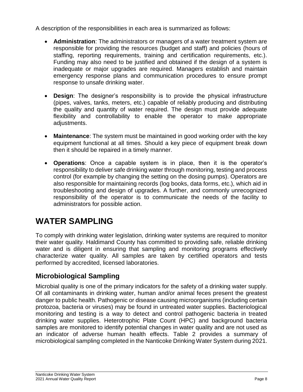A description of the responsibilities in each area is summarized as follows:

- **Administration**: The administrators or managers of a water treatment system are responsible for providing the resources (budget and staff) and policies (hours of staffing, reporting requirements, training and certification requirements, etc.). Funding may also need to be justified and obtained if the design of a system is inadequate or major upgrades are required. Managers establish and maintain emergency response plans and communication procedures to ensure prompt response to unsafe drinking water.
- **Design**: The designer's responsibility is to provide the physical infrastructure (pipes, valves, tanks, meters, etc.) capable of reliably producing and distributing the quality and quantity of water required. The design must provide adequate flexibility and controllability to enable the operator to make appropriate adjustments.
- **Maintenance**: The system must be maintained in good working order with the key equipment functional at all times. Should a key piece of equipment break down then it should be repaired in a timely manner.
- **Operations**: Once a capable system is in place, then it is the operator's responsibility to deliver safe drinking water through monitoring, testing and process control (for example by changing the setting on the dosing pumps). Operators are also responsible for maintaining records (log books, data forms, etc.), which aid in troubleshooting and design of upgrades. A further, and commonly unrecognized responsibility of the operator is to communicate the needs of the facility to administrators for possible action.

# **WATER SAMPLING**

To comply with drinking water legislation, drinking water systems are required to monitor their water quality. Haldimand County has committed to providing safe, reliable drinking water and is diligent in ensuring that sampling and monitoring programs effectively characterize water quality. All samples are taken by certified operators and tests performed by accredited, licensed laboratories.

### **Microbiological Sampling**

Microbial quality is one of the primary indicators for the safety of a drinking water supply. Of all contaminants in drinking water, human and/or animal feces present the greatest danger to public health. Pathogenic or disease causing microorganisms (including certain protozoa, bacteria or viruses) may be found in untreated water supplies. Bacteriological monitoring and testing is a way to detect and control pathogenic bacteria in treated drinking water supplies. Heterotrophic Plate Count (HPC) and background bacteria samples are monitored to identify potential changes in water quality and are not used as an indicator of adverse human health effects. Table 2 provides a summary of microbiological sampling completed in the Nanticoke Drinking Water System during 2021.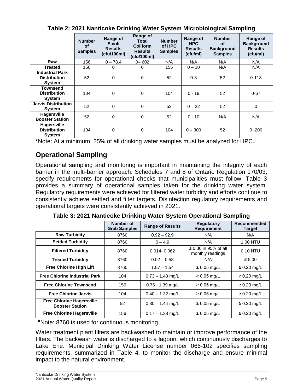|                                                            | <b>Number</b><br>οf<br><b>Samples</b> | Range of<br>E.coli<br><b>Results</b><br>(cfu/100ml) | Range of<br><b>Total</b><br><b>Coliform</b><br><b>Results</b><br>(cfu/100ml) | <b>Number</b><br>of HPC<br><b>Samples</b> | Range of<br><b>HPC</b><br><b>Results</b><br>(ctu/ml) | <b>Number</b><br><b>of</b><br><b>Background</b><br><b>Samples</b> | Range of<br><b>Background</b><br><b>Results</b><br>(cfu/ml) |
|------------------------------------------------------------|---------------------------------------|-----------------------------------------------------|------------------------------------------------------------------------------|-------------------------------------------|------------------------------------------------------|-------------------------------------------------------------------|-------------------------------------------------------------|
| Raw                                                        | 156                                   | $0 - 78.4$                                          | $0 - 602$                                                                    | N/A                                       | N/A                                                  | N/A                                                               | N/A                                                         |
| <b>Treated</b>                                             | 156                                   | 0                                                   | 0                                                                            | 156                                       | $0 - 10$                                             | N/A                                                               | N/A                                                         |
| <b>Industrial Park</b><br><b>Distribution</b><br>System    | 52                                    | 0                                                   | 0                                                                            | 52                                        | $0 - 3$                                              | 52                                                                | $0 - 113$                                                   |
| Townsend<br><b>Distribution</b><br>System                  | 104                                   | 0                                                   | $\pmb{0}$                                                                    | 104                                       | $0 - 19$                                             | 52                                                                | $0 - 67$                                                    |
| <b>Jarvis Distribution</b><br>System                       | 52                                    | 0                                                   | 0                                                                            | 52                                        | $0 - 22$                                             | 52                                                                | $\pmb{0}$                                                   |
| <b>Hagersville</b><br><b>Booster Station</b>               | 52                                    | 0                                                   | 0                                                                            | 52                                        | $0 - 10$                                             | N/A                                                               | N/A                                                         |
| <b>Hagersville</b><br><b>Distribution</b><br><b>System</b> | 104                                   | 0                                                   | 0                                                                            | 104                                       | $0 - 300$                                            | 52                                                                | $0 - 200$                                                   |

**Table 2: 2021 Nanticoke Drinking Water System Microbiological Sampling**

**\***Note: At a minimum, 25% of all drinking water samples must be analyzed for HPC.

### **Operational Sampling**

Operational sampling and monitoring is important in maintaining the integrity of each barrier in the multi-barrier approach. Schedules 7 and 8 of Ontario Regulation 170/03, specify requirements for operational checks that municipalities must follow. Table 3 provides a summary of operational samples taken for the drinking water system. Regulatory requirements were achieved for filtered water turbidity and efforts continue to consistently achieve settled and filter targets. Disinfection regulatory requirements and operational targets were consistently achieved in 2021.

|                                                            | Number of<br><b>Grab Samples</b> | <b>Range of Results</b> | <b>Requlatory</b><br><b>Requirement</b>       | <b>Recommended</b><br><b>Target</b> |
|------------------------------------------------------------|----------------------------------|-------------------------|-----------------------------------------------|-------------------------------------|
| <b>Raw Turbidity</b>                                       | 8760                             | $0.92 - 92.9$           | N/A                                           | N/A                                 |
| <b>Settled Turbidity</b>                                   | 8760                             | $0 - 4.9$               | N/A                                           | 1.00 NTU                            |
| <b>Filtered Turbidity</b>                                  | 8760                             | $0.014 - 0.062$         | $\leq$ 0.30 in 95% of all<br>monthly readings | 0.10 NTU                            |
| <b>Treated Turbidity</b>                                   | 8760                             | $0.02 - 0.58$           | N/A                                           | $\leq 5.00$                         |
| <b>Free Chlorine High Lift</b>                             | 8760                             | $1.07 - 1.54$           | $\geq 0.05$ mg/L                              | $\geq 0.20$ mg/L                    |
| <b>Free Chlorine Industrial Park</b>                       | 104                              | $0.73 - 1.48$ mg/L      | $\geq 0.05$ mg/L                              | $\geq 0.20$ mg/L                    |
| <b>Free Chlorine Townsend</b>                              | 156                              | $0.76 - 1.39$ mg/L      | $\geq 0.05$ mg/L                              | $\geq 0.20$ mg/L                    |
| <b>Free Chlorine Jarvis</b>                                | 104                              | $0.40 - 1.32$ mg/L      | $\geq 0.05$ mg/L                              | $\geq 0.20$ mg/L                    |
| <b>Free Chlorine Hagersville</b><br><b>Booster Station</b> | 52                               | $0.30 - 1.44$ mg/L      | $\geq 0.05$ mg/L                              | $\geq 0.20$ mg/L                    |
| <b>Free Chlorine Hagersville</b>                           | 156                              | $0.17 - 1.38$ mg/L      | $\geq 0.05$ mg/L                              | $\geq 0.20$ mg/L                    |

**Table 3: 2021 Nanticoke Drinking Water System Operational Sampling**

**\***Note: 8760 is used for continuous monitoring.

Water treatment plant filters are backwashed to maintain or improve performance of the filters. The backwash water is discharged to a lagoon, which continuously discharges to Lake Erie. Municipal Drinking Water License number 066-102 specifies sampling requirements, summarized in Table 4, to monitor the discharge and ensure minimal impact to the natural environment.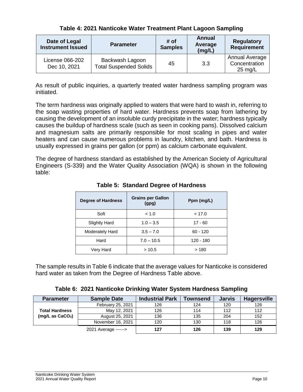|  |  | Table 4: 2021 Nanticoke Water Treatment Plant Lagoon Sampling |  |
|--|--|---------------------------------------------------------------|--|
|--|--|---------------------------------------------------------------|--|

| Date of Legal<br><b>Instrument Issued</b> | <b>Parameter</b>                                 | # of<br><b>Samples</b> | Annual<br>Average<br>(mg/L) | <b>Regulatory</b><br><b>Requirement</b>              |
|-------------------------------------------|--------------------------------------------------|------------------------|-----------------------------|------------------------------------------------------|
| License 066-202<br>Dec 10, 2021           | Backwash Lagoon<br><b>Total Suspended Solids</b> | 45                     | 3.3                         | Annual Average<br>Concentration<br>$25 \text{ mg/L}$ |

As result of public inquiries, a quarterly treated water hardness sampling program was initiated.

The term hardness was originally applied to waters that were hard to wash in, referring to the soap wasting properties of hard water. Hardness prevents soap from lathering by causing the development of an insoluble curdy precipitate in the water; hardness typically causes the buildup of hardness scale (such as seen in cooking pans). Dissolved calcium and magnesium salts are primarily responsible for most scaling in pipes and water heaters and can cause numerous problems in laundry, kitchen, and bath. Hardness is usually expressed in grains per gallon (or ppm) as calcium carbonate equivalent.

The degree of hardness standard as established by the American Society of Agricultural Engineers (S-339) and the Water Quality Association (WQA) is shown in the following table:

| <b>Degree of Hardness</b> | <b>Grains per Gallon</b><br>(gpg) | Ppm (mg/L) |
|---------------------------|-----------------------------------|------------|
| Soft                      | < 1.0                             | < 17.0     |
| <b>Slightly Hard</b>      | $1.0 - 3.5$                       | $17 - 60$  |
| Moderately Hard           | $3.5 - 7.0$                       | $60 - 120$ |
| Hard                      | $7.0 - 10.5$                      | 120 - 180  |
| Very Hard                 | >10.5                             | >180       |

**Table 5: Standard Degree of Hardness**

The sample results in Table 6 indicate that the average values for Nanticoke is considered hard water as taken from the Degree of Hardness Table above.

|  |  | Table 6: 2021 Nanticoke Drinking Water System Hardness Sampling |  |  |  |  |  |
|--|--|-----------------------------------------------------------------|--|--|--|--|--|
|--|--|-----------------------------------------------------------------|--|--|--|--|--|

| <b>Parameter</b>             | <b>Sample Date</b> | <b>Industrial Park</b> | Townsend | <b>Jarvis</b> | <b>Hagersville</b> |
|------------------------------|--------------------|------------------------|----------|---------------|--------------------|
|                              | February 25, 2021  | 126                    | 124      | 120           | 126                |
| <b>Total Hardness</b>        | May 12, 2021       | 126                    | 114      | 112           | 112                |
| (mg/L as CaCO <sub>3</sub> ) | August 25, 2021    | 136                    | 135      | 204           | 152                |
|                              | November 16, 2021  | 120                    | 130      | 118           | 126                |
| 2021 Average ------>         |                    | 127                    | 126      | 139           | 129                |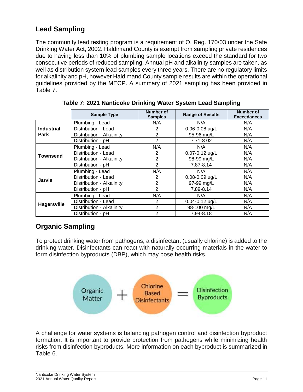### **Lead Sampling**

The community lead testing program is a requirement of O. Reg. 170/03 under the Safe Drinking Water Act, 2002. Haldimand County is exempt from sampling private residences due to having less than 10% of plumbing sample locations exceed the standard for two consecutive periods of reduced sampling. Annual pH and alkalinity samples are taken, as well as distribution system lead samples every three years. There are no regulatory limits for alkalinity and pH, however Haldimand County sample results are within the operational guidelines provided by the MECP. A summary of 2021 sampling has been provided in Table 7.

|                    | <b>Sample Type</b>        | Number of<br><b>Samples</b> | <b>Range of Results</b> | Number of<br><b>Exceedances</b> |
|--------------------|---------------------------|-----------------------------|-------------------------|---------------------------------|
|                    | Plumbing - Lead           | N/A<br>N/A                  |                         | N/A                             |
| <b>Industrial</b>  | Distribution - Lead       | 2                           | $0.06 - 0.08$ ug/L      | N/A                             |
| Park               | Distribution - Alkalinity | 2                           | 95-96 mg/L              | N/A                             |
|                    | Distribution - pH         | $\overline{2}$              | 7.71-8.02               | N/A                             |
|                    | Plumbing - Lead           | N/A                         | N/A                     | N/A                             |
| <b>Townsend</b>    | Distribution - Lead       | 2                           | 0.07-0.12 ug/L          | N/A                             |
|                    | Distribution - Alkalinity | 2                           | 98-99 mg/L              | N/A                             |
|                    | Distribution - pH         | $\overline{2}$              | 7.87-8.14               | N/A                             |
|                    | Plumbing - Lead           | N/A                         | N/A                     | N/A                             |
| <b>Jarvis</b>      | Distribution - Lead       | 2                           | $0.08 - 0.09$ ug/L      | N/A                             |
|                    | Distribution - Alkalinity | 2                           | 97-99 mg/L              | N/A                             |
|                    | Distribution - pH         | 2                           | 7.89-8.14               | N/A                             |
|                    | Plumbing - Lead           | N/A                         | N/A                     | N/A                             |
|                    | Distribution - Lead       | 2                           | $0.04 - 0.12$ ug/L      | N/A                             |
| <b>Hagersville</b> | Distribution - Alkalinity | 2                           | 98-100 mg/L             | N/A                             |
|                    | Distribution - pH         | $\overline{2}$              | 7.94-8.18               | N/A                             |

**Table 7: 2021 Nanticoke Drinking Water System Lead Sampling**

# **Organic Sampling**

To protect drinking water from pathogens, a disinfectant (usually chlorine) is added to the drinking water. Disinfectants can react with naturally-occurring materials in the water to form disinfection byproducts (DBP), which may pose health risks.



A challenge for water systems is balancing pathogen control and disinfection byproduct formation. It is important to provide protection from pathogens while minimizing health risks from disinfection byproducts. More information on each byproduct is summarized in Table 6.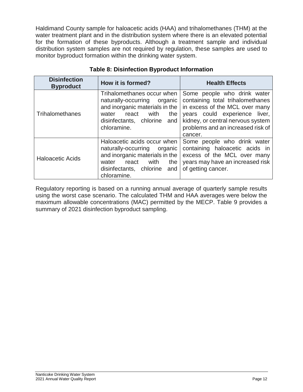Haldimand County sample for haloacetic acids (HAA) and trihalomethanes (THM) at the water treatment plant and in the distribution system where there is an elevated potential for the formation of these byproducts. Although a treatment sample and individual distribution system samples are not required by regulation, these samples are used to monitor byproduct formation within the drinking water system.

| <b>Disinfection</b><br><b>Byproduct</b> | How it is formed?                                                                                                                                                              | <b>Health Effects</b>                                                                                                                                                                                                   |
|-----------------------------------------|--------------------------------------------------------------------------------------------------------------------------------------------------------------------------------|-------------------------------------------------------------------------------------------------------------------------------------------------------------------------------------------------------------------------|
| Trihalomethanes                         | Trihalomethanes occur when<br>naturally-occurring organic<br>and inorganic materials in the<br>with<br>react<br>the<br>water<br>disinfectants, chlorine<br>and<br>chloramine.  | Some people who drink water<br>containing total trihalomethanes<br>in excess of the MCL over many<br>years could experience liver,<br>kidney, or central nervous system<br>problems and an increased risk of<br>cancer. |
| <b>Haloacetic Acids</b>                 | Haloacetic acids occur when<br>naturally-occurring organic<br>and inorganic materials in the<br>with<br>the<br>react<br>water<br>disinfectants, chlorine<br>and<br>chloramine. | Some people who drink water<br>containing haloacetic acids in<br>excess of the MCL over many<br>years may have an increased risk<br>of getting cancer.                                                                  |

#### **Table 8: Disinfection Byproduct Information**

Regulatory reporting is based on a running annual average of quarterly sample results using the worst case scenario. The calculated THM and HAA averages were below the maximum allowable concentrations (MAC) permitted by the MECP. Table 9 provides a summary of 2021 disinfection byproduct sampling.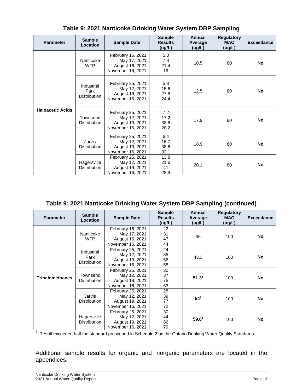| <b>Parameter</b>        | <b>Sample</b><br>Location                 | <b>Sample Date</b>                                                        | <b>Sample</b><br><b>Results</b><br>(ug/L) | <b>Annual</b><br>Average<br>(ug/L) | <b>Regulatory</b><br><b>MAC</b><br>(ug/L) | <b>Exceedance</b> |
|-------------------------|-------------------------------------------|---------------------------------------------------------------------------|-------------------------------------------|------------------------------------|-------------------------------------------|-------------------|
|                         | Nanticoke<br><b>WTP</b>                   | February 16, 2021<br>May 17, 2021<br>August 16, 2021<br>November 16, 2021 | 5.3<br>7.8<br>21.4<br>19                  | 10.5                               | 80                                        | No                |
|                         | Industrial<br>Park<br><b>Distribution</b> | February 25, 2021<br>May 12, 2021<br>August 19, 2021<br>November 16, 2021 | 5.8<br>15.6<br>27.8<br>24.4               | 12.5                               | 80                                        | <b>No</b>         |
| <b>Haloacetic Acids</b> | Townsend<br><b>Distribution</b>           | February 25, 2021<br>May 12, 2021<br>August 19, 2021<br>November 16, 2021 | 7.2<br>17.2<br>38.8<br>28.2               | 17.9                               | 80                                        | <b>No</b>         |
|                         | Jarvis<br><b>Distribution</b>             | February 25, 2021<br>May 12, 2021<br>August 19, 2021<br>November 16, 2021 | 6.4<br>16.7<br>38.6<br>32.1               | 18.9                               | 80                                        | No                |
|                         | Hagersville<br><b>Distribution</b>        | February 25, 2021<br>May 12, 2021<br>August 19, 2021<br>November 16, 2021 | 13.8<br>21.6<br>41<br>28.9                | 20.1                               | 80                                        | <b>No</b>         |

**Table 9: 2021 Nanticoke Drinking Water System DBP Sampling**

#### **Table 9: 2021 Nanticoke Drinking Water System DBP Sampling (continued)**

| <b>Parameter</b>       | <b>Sample</b><br>Location          | <b>Sample Date</b> | <b>Sample</b><br><b>Results</b><br>(ug/L) | Annual<br>Average<br>(ug/L) | <b>Regulatory</b><br><b>MAC</b><br>(ug/L) | <b>Exceedance</b> |
|------------------------|------------------------------------|--------------------|-------------------------------------------|-----------------------------|-------------------------------------------|-------------------|
|                        |                                    | February 16, 2021  | 22                                        |                             |                                           |                   |
|                        | Nanticoke                          | May 17, 2021       | 31                                        | 36                          | 100                                       | No                |
|                        | <b>WTP</b>                         | August 16, 2021    | 47                                        |                             |                                           |                   |
|                        |                                    | November 16, 2021  | 44                                        |                             |                                           |                   |
|                        | Industrial                         | February 25, 2021  | 24                                        |                             |                                           |                   |
|                        | Park<br><b>Distribution</b>        | May 12, 2021       | 35                                        | 43.3                        | 100                                       | No                |
|                        |                                    | August 19, 2021    | 56                                        |                             |                                           |                   |
|                        |                                    | November 16, 2021  | 58                                        |                             |                                           |                   |
|                        |                                    | February 25, 2021  | 30                                        | 51.3 <sup>1</sup>           | 100                                       |                   |
| <b>Trihalomethanes</b> | Townsend<br><b>Distribution</b>    | May 12, 2021       | 37                                        |                             |                                           | No                |
|                        |                                    | August 19, 2021    | 75                                        |                             |                                           |                   |
|                        |                                    | November 16, 2021  | 63                                        |                             |                                           |                   |
|                        |                                    | February 25, 2021  | 28                                        |                             | 100                                       |                   |
|                        | Jarvis                             | May 12, 2021       | 39                                        |                             |                                           | <b>No</b>         |
|                        | <b>Distribution</b>                | August 19, 2021    | 77                                        | 54 <sup>1</sup>             |                                           |                   |
|                        |                                    | November 16, 2021  | 72                                        |                             |                                           |                   |
|                        | Hagersville<br><b>Distribution</b> | February 25, 2021  | 30                                        |                             | 100                                       |                   |
|                        |                                    | May 12, 2021       | 44                                        |                             |                                           | <b>No</b>         |
|                        |                                    | August 19, 2021    | 86                                        | 59.8 <sup>1</sup>           |                                           |                   |
|                        |                                    | November 16, 2021  | 79                                        |                             |                                           |                   |

**<sup>1</sup>** Result exceeded half the standard prescribed in Schedule 2 on the Ontario Drinking Water Quality Standards.

Additional sample results for organic and inorganic parameters are located in the appendices.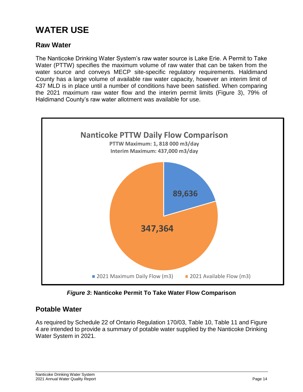# **WATER USE**

### **Raw Water**

The Nanticoke Drinking Water System's raw water source is Lake Erie. A Permit to Take Water (PTTW) specifies the maximum volume of raw water that can be taken from the water source and conveys MECP site-specific regulatory requirements. Haldimand County has a large volume of available raw water capacity, however an interim limit of 437 MLD is in place until a number of conditions have been satisfied. When comparing the 2021 maximum raw water flow and the interim permit limits (Figure 3), 79% of Haldimand County's raw water allotment was available for use.



*Figure 3***: Nanticoke Permit To Take Water Flow Comparison**

### **Potable Water**

As required by Schedule 22 of Ontario Regulation 170/03, Table 10, Table 11 and Figure 4 are intended to provide a summary of potable water supplied by the Nanticoke Drinking Water System in 2021.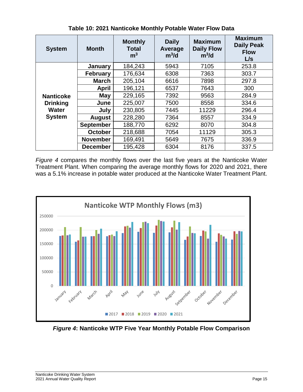| <b>System</b>                                                        | <b>Month</b>     | <b>Monthly</b><br><b>Total</b><br>m <sup>3</sup> | <b>Daily</b><br>Average<br>$m^3/d$ | <b>Maximum</b><br><b>Daily Flow</b><br>$m^3/d$ | <b>Maximum</b><br><b>Daily Peak</b><br><b>Flow</b><br>L/s |
|----------------------------------------------------------------------|------------------|--------------------------------------------------|------------------------------------|------------------------------------------------|-----------------------------------------------------------|
|                                                                      | January          | 184,243                                          | 5943                               | 7105                                           | 253.8                                                     |
|                                                                      | <b>February</b>  | 176,634                                          | 6308                               | 7363                                           | 303.7                                                     |
|                                                                      | <b>March</b>     | 205,104                                          | 6616                               | 7898                                           | 297.8                                                     |
|                                                                      | <b>April</b>     | 196,121                                          | 6537                               | 7643                                           | 300                                                       |
| <b>Nanticoke</b><br><b>Drinking</b><br><b>Water</b><br><b>System</b> | May              | 229,165                                          | 7392                               | 9563                                           | 284.9                                                     |
|                                                                      | June             | 225,007                                          | 7500                               | 8558                                           | 334.6                                                     |
|                                                                      | July             | 230,805                                          | 7445                               | 11229                                          | 296.4                                                     |
|                                                                      | <b>August</b>    | 228,280                                          | 7364                               | 8557                                           | 334.9                                                     |
|                                                                      | <b>September</b> | 188,770                                          | 6292                               | 8070                                           | 304.8                                                     |
|                                                                      | <b>October</b>   | 218,688                                          | 7054                               | 11129                                          | 305.3                                                     |
|                                                                      | <b>November</b>  | 169,491                                          | 5649                               | 7675                                           | 336.9                                                     |
|                                                                      | <b>December</b>  | 195,428                                          | 6304                               | 8176                                           | 337.5                                                     |

**Table 10: 2021 Nanticoke Monthly Potable Water Flow Data**

*Figure 4* compares the monthly flows over the last five years at the Nanticoke Water Treatment Plant. When comparing the average monthly flows for 2020 and 2021, there was a 5.1% increase in potable water produced at the Nanticoke Water Treatment Plant.



*Figure 4***: Nanticoke WTP Five Year Monthly Potable Flow Comparison**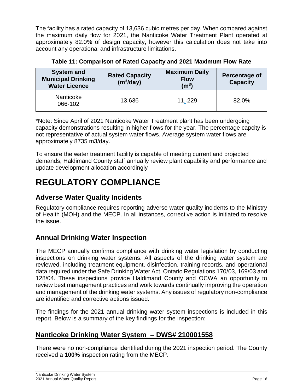The facility has a rated capacity of 13,636 cubic metres per day. When compared against the maximum daily flow for 2021, the Nanticoke Water Treatment Plant operated at approximately 82.0% of design capacity, however this calculation does not take into account any operational and infrastructure limitations.

**Table 11: Comparison of Rated Capacity and 2021 Maximum Flow Rate**

| <b>System and</b><br><b>Rated Capacity</b><br><b>Municipal Drinking</b><br>(m <sup>3</sup> /day)<br><b>Water Licence</b> |        | <b>Maximum Daily</b><br><b>Flow</b><br>(m <sup>3</sup> ) | <b>Percentage of</b><br><b>Capacity</b> |  |
|--------------------------------------------------------------------------------------------------------------------------|--------|----------------------------------------------------------|-----------------------------------------|--|
| <b>Nanticoke</b><br>066-102                                                                                              | 13,636 | $11,-229$                                                | 82.0%                                   |  |

\*Note: Since April of 2021 Nanticoke Water Treatment plant has been undergoing capacity demonstrations resulting in higher flows for the year. The percentage capcity is not representative of actual system water flows. Average system water flows are approximately 8735 m3/day.

To ensure the water treatment facility is capable of meeting current and projected demands, Haldimand County staff annually review plant capability and performance and update development allocation accordingly

# **REGULATORY COMPLIANCE**

### **Adverse Water Quality Incidents**

Regulatory compliance requires reporting adverse water quality incidents to the Ministry of Health (MOH) and the MECP. In all instances, corrective action is initiated to resolve the issue.

### **Annual Drinking Water Inspection**

The MECP annually confirms compliance with drinking water legislation by conducting inspections on drinking water systems. All aspects of the drinking water system are reviewed, including treatment equipment, disinfection, training records, and operational data required under the Safe Drinking Water Act, Ontario Regulations 170/03, 169/03 and 128/04. These inspections provide Haldimand County and OCWA an opportunity to review best management practices and work towards continually improving the operation and management of the drinking water systems. Any issues of regulatory non-compliance are identified and corrective actions issued.

The findings for the 2021 annual drinking water system inspections is included in this report. Below is a summary of the key findings for the inspection:

### **Nanticoke Drinking Water System – DWS# 210001558**

There were no non-compliance identified during the 2021 inspection period. The County received a **100%** inspection rating from the MECP.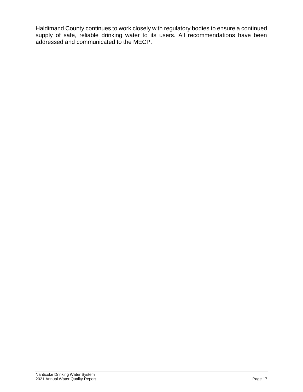Haldimand County continues to work closely with regulatory bodies to ensure a continued supply of safe, reliable drinking water to its users. All recommendations have been addressed and communicated to the MECP.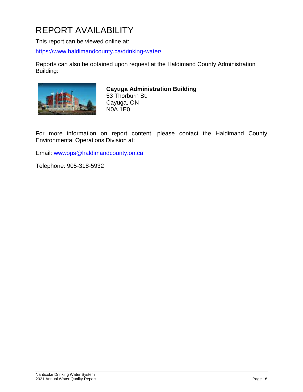# REPORT AVAILABILITY

This report can be viewed online at:

<https://www.haldimandcounty.ca/drinking-water/>

Reports can also be obtained upon request at the Haldimand County Administration Building:



#### **Cayuga Administration Building**

53 Thorburn St. Cayuga, ON N0A 1E0

For more information on report content, please contact the Haldimand County Environmental Operations Division at:

Email: [wwwops@haldimandcounty.on.ca](mailto:wwwops@haldimandcounty.on.ca)

Telephone: 905-318-5932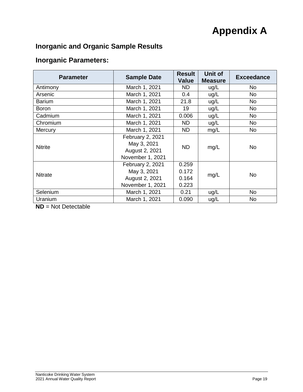# **Appendix A**

# **Inorganic and Organic Sample Results**

### **Inorganic Parameters:**

| <b>Parameter</b> | <b>Sample Date</b>                                                    | <b>Result</b><br><b>Value</b>    | Unit of<br><b>Measure</b> | <b>Exceedance</b> |
|------------------|-----------------------------------------------------------------------|----------------------------------|---------------------------|-------------------|
| Antimony         | March 1, 2021                                                         | ND.                              | ug/L                      | <b>No</b>         |
| Arsenic          | March 1, 2021                                                         | 0.4                              | ug/L                      | <b>No</b>         |
| <b>Barium</b>    | March 1, 2021                                                         | 21.8                             | ug/L                      | <b>No</b>         |
| <b>Boron</b>     | March 1, 2021                                                         | 19                               | ug/L                      | <b>No</b>         |
| Cadmium          | March 1, 2021                                                         | 0.006                            | ug/L                      | <b>No</b>         |
| Chromium         | March 1, 2021                                                         | ND.                              | ug/L                      | <b>No</b>         |
| Mercury          | March 1, 2021                                                         | ND.                              | mg/L                      | No                |
| <b>Nitrite</b>   | February 2, 2021<br>May 3, 2021<br>August 2, 2021<br>November 1, 2021 | <b>ND</b>                        | mg/L                      | <b>No</b>         |
| <b>Nitrate</b>   | February 2, 2021<br>May 3, 2021<br>August 2, 2021<br>November 1, 2021 | 0.259<br>0.172<br>0.164<br>0.223 | mg/L                      | <b>No</b>         |
| Selenium         | March 1, 2021                                                         | 0.21                             | ug/L                      | <b>No</b>         |
| Uranium          | March 1, 2021                                                         | 0.090                            | ug/L                      | <b>No</b>         |

**ND** = Not Detectable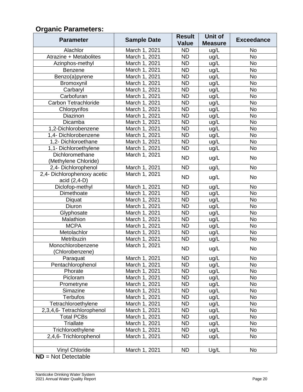# **Organic Parameters:**

| <b>Parameter</b>            | <b>Sample Date</b> | <b>Result</b> | Unit of        | <b>Exceedance</b> |  |
|-----------------------------|--------------------|---------------|----------------|-------------------|--|
|                             |                    | <b>Value</b>  | <b>Measure</b> |                   |  |
| Alachlor                    | March 1, 2021      | <b>ND</b>     | ug/L           | <b>No</b>         |  |
| Atrazine + Metabolites      | March 1, 2021      | <b>ND</b>     | ug/L           | <b>No</b>         |  |
| Azinphos-methyl             | March 1, 2021      | <b>ND</b>     | ug/L           | <b>No</b>         |  |
| Benzene                     | March 1, 2021      | <b>ND</b>     | ug/L           | <b>No</b>         |  |
| Benzo(a)pyrene              | March 1, 2021      | <b>ND</b>     | ug/L           | <b>No</b>         |  |
| Bromoxynil                  | March 1, 2021      | <b>ND</b>     | ug/L           | <b>No</b>         |  |
| Carbaryl                    | March 1, 2021      | <b>ND</b>     | ug/L           | No                |  |
| Carbofuran                  | March 1, 2021      | <b>ND</b>     | ug/L           | <b>No</b>         |  |
| <b>Carbon Tetrachloride</b> | March 1, 2021      | <b>ND</b>     | ug/L           | <b>No</b>         |  |
| Chlorpyrifos                | March 1, 2021      | <b>ND</b>     | ug/L           | <b>No</b>         |  |
| Diazinon                    | March 1, 2021      | <b>ND</b>     | ug/L           | No                |  |
| Dicamba                     | March 1, 2021      | <b>ND</b>     | ug/L           | No                |  |
| 1,2-Dichlorobenzene         | March 1, 2021      | <b>ND</b>     | ug/L           | <b>No</b>         |  |
| 1,4- Dichlorobenzene        | March 1, 2021      | <b>ND</b>     | ug/L           | <b>No</b>         |  |
| 1,2- Dichloroethane         | March 1, 2021      | <b>ND</b>     | ug/L           | <b>No</b>         |  |
| 1,1- Dichloroethylene       | March 1, 2021      | <b>ND</b>     | ug/L           | <b>No</b>         |  |
| Dichloromethane             | March 1, 2021      | <b>ND</b>     |                |                   |  |
| (Methylene Chloride)        |                    |               | ug/L           | <b>No</b>         |  |
| 2,4- Dichlorophenol         | March 1, 2021      | <b>ND</b>     | ug/L           | <b>No</b>         |  |
| 2,4- Dichlorophenoxy acetic | March 1, 2021      | <b>ND</b>     |                | <b>No</b>         |  |
| acid (2,4-D)                |                    |               | ug/L           |                   |  |
| Diclofop-methyl             | March 1, 2021      | <b>ND</b>     | ug/L           | <b>No</b>         |  |
| Dimethoate                  | March 1, 2021      | <b>ND</b>     | ug/L           | <b>No</b>         |  |
| Diquat                      | March 1, 2021      | <b>ND</b>     | ug/L           | <b>No</b>         |  |
| Diuron                      | March 1, 2021      | <b>ND</b>     | ug/L           | <b>No</b>         |  |
| Glyphosate                  | March 1, 2021      | <b>ND</b>     | ug/L           | <b>No</b>         |  |
| Malathion                   | March 1, 2021      | <b>ND</b>     | ug/L           | <b>No</b>         |  |
| <b>MCPA</b>                 | March 1, 2021      | <b>ND</b>     | ug/L           | <b>No</b>         |  |
| Metolachlor                 | March 1, 2021      | <b>ND</b>     | ug/L           | <b>No</b>         |  |
| Metribuzin                  | March 1, 2021      | <b>ND</b>     | ug/L           | <b>No</b>         |  |
| Monochlorobenzene           | March 1, 2021      | <b>ND</b>     | ug/L           | No                |  |
| (Chlorobenzene)             |                    |               |                |                   |  |
| Paraquat                    | March 1, 2021      | <b>ND</b>     | ug/L           | <b>No</b>         |  |
| Pentachlorophenol           | March 1, 2021      | <b>ND</b>     | ug/L           | <b>No</b>         |  |
| Phorate                     | March 1, 2021      | <b>ND</b>     | ug/L           | <b>No</b>         |  |
| Picloram                    | March 1, 2021      | <b>ND</b>     | ug/L           | <b>No</b>         |  |
| Prometryne                  | March 1, 2021      | <b>ND</b>     | ug/L           | <b>No</b>         |  |
| Simazine                    | March 1, 2021      | <b>ND</b>     | ug/L           | <b>No</b>         |  |
| <b>Terbufos</b>             | March 1, 2021      | <b>ND</b>     | ug/L           | <b>No</b>         |  |
| Tetrachloroethylene         | March 1, 2021      | <b>ND</b>     | ug/L           | <b>No</b>         |  |
| 2,3,4,6- Tetrachlorophenol  | March 1, 2021      | <b>ND</b>     | ug/L           | <b>No</b>         |  |
| <b>Total PCBs</b>           | March 1, 2021      | <b>ND</b>     | ug/L           | <b>No</b>         |  |
| <b>Triallate</b>            | March 1, 2021      | <b>ND</b>     | ug/L           | <b>No</b>         |  |
| Trichloroethylene           | March 1, 2021      | <b>ND</b>     | ug/L           | <b>No</b>         |  |
| 2,4,6- Trichlorophenol      | March 1, 2021      | <b>ND</b>     | ug/L           | <b>No</b>         |  |
|                             |                    |               |                |                   |  |
| <b>Vinyl Chloride</b>       | March 1, 2021      | <b>ND</b>     | Ug/L           | <b>No</b>         |  |
| $ND = Not Detection$        |                    |               |                |                   |  |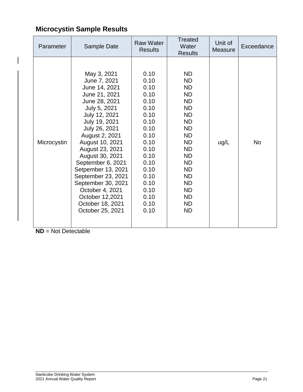# **Microcystin Sample Results**

| Parameter   | Sample Date                                                                                                                                                                                                                                                                                                                                                                                       | <b>Raw Water</b><br><b>Results</b>                                                                                                                                   | <b>Treated</b><br>Water<br><b>Results</b>                                                                                                                                                                                         | Unit of<br><b>Measure</b> | Exceedance |
|-------------|---------------------------------------------------------------------------------------------------------------------------------------------------------------------------------------------------------------------------------------------------------------------------------------------------------------------------------------------------------------------------------------------------|----------------------------------------------------------------------------------------------------------------------------------------------------------------------|-----------------------------------------------------------------------------------------------------------------------------------------------------------------------------------------------------------------------------------|---------------------------|------------|
| Microcystin | May 3, 2021<br>June 7, 2021<br>June 14, 2021<br>June 21, 2021<br>June 28, 2021<br>July 5, 2021<br>July 12, 2021<br>July 19, 2021<br>July 26, 2021<br>August 2, 2021<br>August 10, 2021<br>August 23, 2021<br>August 30, 2021<br>September 6, 2021<br>Setpember 13, 2021<br>September 23, 2021<br>September 30, 2021<br>October 4, 2021<br>October 12,2021<br>October 18, 2021<br>October 25, 2021 | 0.10<br>0.10<br>0.10<br>0.10<br>0.10<br>0.10<br>0.10<br>0.10<br>0.10<br>0.10<br>0.10<br>0.10<br>0.10<br>0.10<br>0.10<br>0.10<br>0.10<br>0.10<br>0.10<br>0.10<br>0.10 | ND.<br><b>ND</b><br><b>ND</b><br><b>ND</b><br>ND.<br>ND<br><b>ND</b><br>ND.<br><b>ND</b><br><b>ND</b><br>ND.<br><b>ND</b><br><b>ND</b><br><b>ND</b><br><b>ND</b><br><b>ND</b><br>ND<br><b>ND</b><br>ND.<br><b>ND</b><br><b>ND</b> | ug/L                      | <b>No</b>  |

**ND** = Not Detectable